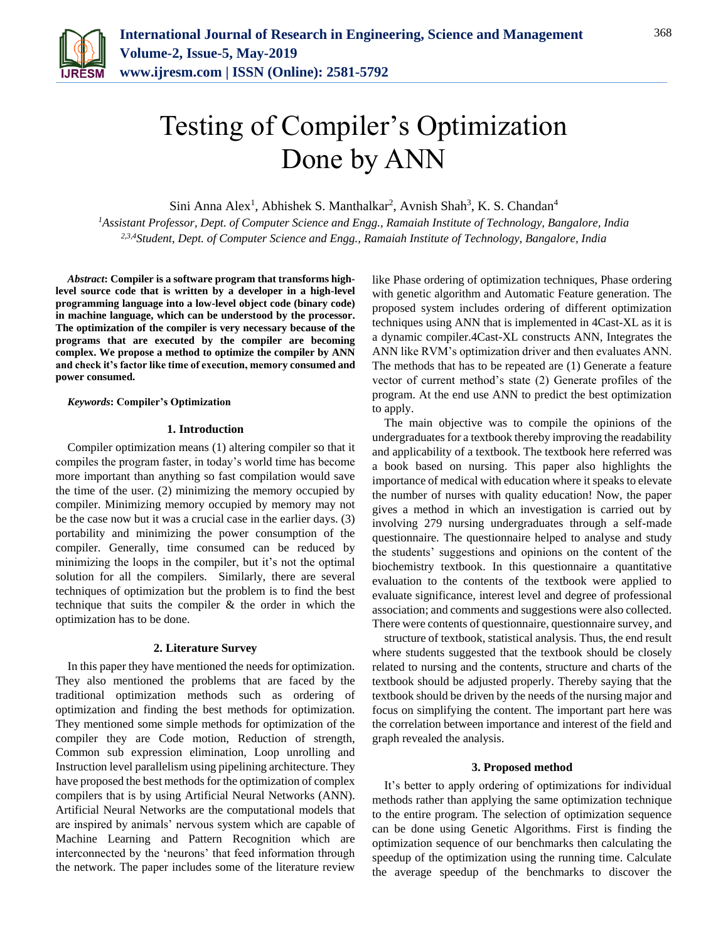

# Testing of Compiler's Optimization Done by ANN

Sini Anna Alex<sup>1</sup>, Abhishek S. Manthalkar<sup>2</sup>, Avnish Shah<sup>3</sup>, K. S. Chandan<sup>4</sup>

*<sup>1</sup>Assistant Professor, Dept. of Computer Science and Engg., Ramaiah Institute of Technology, Bangalore, India 2,3,4Student, Dept. of Computer Science and Engg., Ramaiah Institute of Technology, Bangalore, India*

*Abstract***: Compiler is a software program that transforms highlevel source code that is written by a developer in a high-level programming language into a low-level object code (binary code) in machine language, which can be understood by the processor. The optimization of the compiler is very necessary because of the programs that are executed by the compiler are becoming complex. We propose a method to optimize the compiler by ANN and check it's factor like time of execution, memory consumed and power consumed.**

#### *Keywords***: Compiler's Optimization**

# **1. Introduction**

Compiler optimization means (1) altering compiler so that it compiles the program faster, in today's world time has become more important than anything so fast compilation would save the time of the user. (2) minimizing the memory occupied by compiler. Minimizing memory occupied by memory may not be the case now but it was a crucial case in the earlier days. (3) portability and minimizing the power consumption of the compiler. Generally, time consumed can be reduced by minimizing the loops in the compiler, but it's not the optimal solution for all the compilers. Similarly, there are several techniques of optimization but the problem is to find the best technique that suits the compiler & the order in which the optimization has to be done.

#### **2. Literature Survey**

In this paper they have mentioned the needs for optimization. They also mentioned the problems that are faced by the traditional optimization methods such as ordering of optimization and finding the best methods for optimization. They mentioned some simple methods for optimization of the compiler they are Code motion, Reduction of strength, Common sub expression elimination, Loop unrolling and Instruction level parallelism using pipelining architecture. They have proposed the best methods for the optimization of complex compilers that is by using Artificial Neural Networks (ANN). Artificial Neural Networks are the computational models that are inspired by animals' nervous system which are capable of Machine Learning and Pattern Recognition which are interconnected by the 'neurons' that feed information through the network. The paper includes some of the literature review

like Phase ordering of optimization techniques, Phase ordering with genetic algorithm and Automatic Feature generation. The proposed system includes ordering of different optimization techniques using ANN that is implemented in 4Cast-XL as it is a dynamic compiler.4Cast-XL constructs ANN, Integrates the ANN like RVM's optimization driver and then evaluates ANN. The methods that has to be repeated are (1) Generate a feature vector of current method's state (2) Generate profiles of the program. At the end use ANN to predict the best optimization to apply.

The main objective was to compile the opinions of the undergraduates for a textbook thereby improving the readability and applicability of a textbook. The textbook here referred was a book based on nursing. This paper also highlights the importance of medical with education where it speaks to elevate the number of nurses with quality education! Now, the paper gives a method in which an investigation is carried out by involving 279 nursing undergraduates through a self-made questionnaire. The questionnaire helped to analyse and study the students' suggestions and opinions on the content of the biochemistry textbook. In this questionnaire a quantitative evaluation to the contents of the textbook were applied to evaluate significance, interest level and degree of professional association; and comments and suggestions were also collected. There were contents of questionnaire, questionnaire survey, and

structure of textbook, statistical analysis. Thus, the end result where students suggested that the textbook should be closely related to nursing and the contents, structure and charts of the textbook should be adjusted properly. Thereby saying that the textbook should be driven by the needs of the nursing major and focus on simplifying the content. The important part here was the correlation between importance and interest of the field and graph revealed the analysis.

#### **3. Proposed method**

It's better to apply ordering of optimizations for individual methods rather than applying the same optimization technique to the entire program. The selection of optimization sequence can be done using Genetic Algorithms. First is finding the optimization sequence of our benchmarks then calculating the speedup of the optimization using the running time. Calculate the average speedup of the benchmarks to discover the